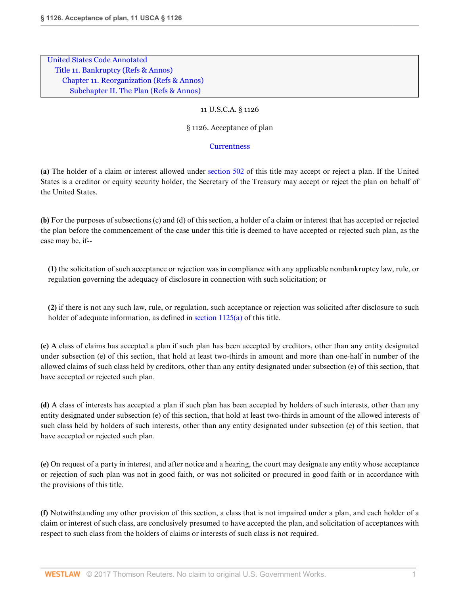[United States Code Annotated](http://www.westlaw.com/Browse/Home/StatutesCourtRules/UnitedStatesCodeAnnotatedUSCA?transitionType=DocumentItem&contextData=(sc.UserEnteredCitation)&rs=clbt1.0&vr=3.0) [Title 11. Bankruptcy](http://www.westlaw.com/Browse/Home/StatutesCourtRules/UnitedStatesCodeAnnotatedUSCA?guid=N816FE66124424475A52637192E3974D7&transitionType=DocumentItem&contextData=(sc.UserEnteredCitation)&rs=clbt1.0&vr=3.0) [\(Refs & Annos\)](http://www.westlaw.com/Link/Document/FullText?findType=l&cite=lk(11USCAD)+lk(11USCAR)&originatingDoc=N36BE5AB0A06711D8A63DAA9EBCE8FE5A&refType=CM&sourceCite=11+U.S.C.A.+%c2%a7+1126&originationContext=document&vr=3.0&rs=cblt1.0&transitionType=DocumentItem&pubNum=1000546&contextData=(sc.UserEnteredCitation)) [Chapter 11. Reorganization](http://www.westlaw.com/Browse/Home/StatutesCourtRules/UnitedStatesCodeAnnotatedUSCA?guid=N2A4BA03B7D58449F8700DC704F0EF313&transitionType=DocumentItem&contextData=(sc.UserEnteredCitation)&rs=clbt1.0&vr=3.0) [\(Refs & Annos\)](http://www.westlaw.com/Link/Document/FullText?findType=l&cite=lk(11USCA11R)&originatingDoc=N36BE5AB0A06711D8A63DAA9EBCE8FE5A&refType=CM&sourceCite=11+U.S.C.A.+%c2%a7+1126&originationContext=document&vr=3.0&rs=cblt1.0&transitionType=DocumentItem&pubNum=1000546&contextData=(sc.UserEnteredCitation)) [Subchapter II. The Plan](http://www.westlaw.com/Browse/Home/StatutesCourtRules/UnitedStatesCodeAnnotatedUSCA?guid=N0A46CEC62354436C986D348B9231FC9A&transitionType=DocumentItem&contextData=(sc.UserEnteredCitation)&rs=clbt1.0&vr=3.0) [\(Refs & Annos\)](http://www.westlaw.com/Link/Document/FullText?findType=l&cite=lk(11USCA11SUBCIIR)&originatingDoc=N36BE5AB0A06711D8A63DAA9EBCE8FE5A&refType=CM&sourceCite=11+U.S.C.A.+%c2%a7+1126&originationContext=document&vr=3.0&rs=cblt1.0&transitionType=DocumentItem&pubNum=1000546&contextData=(sc.UserEnteredCitation))

## 11 U.S.C.A. § 1126

## § 1126. Acceptance of plan

## **[Currentness](#page-1-0)**

**(a)** The holder of a claim or interest allowed under [section 502](http://www.westlaw.com/Link/Document/FullText?findType=L&pubNum=1000546&cite=11USCAS502&originatingDoc=N36BE5AB0A06711D8A63DAA9EBCE8FE5A&refType=LQ&originationContext=document&vr=3.0&rs=cblt1.0&transitionType=DocumentItem&contextData=(sc.UserEnteredCitation)) of this title may accept or reject a plan. If the United States is a creditor or equity security holder, the Secretary of the Treasury may accept or reject the plan on behalf of the United States.

**(b)** For the purposes of subsections (c) and (d) of this section, a holder of a claim or interest that has accepted or rejected the plan before the commencement of the case under this title is deemed to have accepted or rejected such plan, as the case may be, if--

**(1)** the solicitation of such acceptance or rejection was in compliance with any applicable nonbankruptcy law, rule, or regulation governing the adequacy of disclosure in connection with such solicitation; or

**(2)** if there is not any such law, rule, or regulation, such acceptance or rejection was solicited after disclosure to such holder of adequate information, as defined in [section 1125\(a\)](http://www.westlaw.com/Link/Document/FullText?findType=L&pubNum=1000546&cite=11USCAS1125&originatingDoc=N36BE5AB0A06711D8A63DAA9EBCE8FE5A&refType=RB&originationContext=document&vr=3.0&rs=cblt1.0&transitionType=DocumentItem&contextData=(sc.UserEnteredCitation)#co_pp_8b3b0000958a4) of this title.

**(c)** A class of claims has accepted a plan if such plan has been accepted by creditors, other than any entity designated under subsection (e) of this section, that hold at least two-thirds in amount and more than one-half in number of the allowed claims of such class held by creditors, other than any entity designated under subsection (e) of this section, that have accepted or rejected such plan.

**(d)** A class of interests has accepted a plan if such plan has been accepted by holders of such interests, other than any entity designated under subsection (e) of this section, that hold at least two-thirds in amount of the allowed interests of such class held by holders of such interests, other than any entity designated under subsection (e) of this section, that have accepted or rejected such plan.

**(e)** On request of a party in interest, and after notice and a hearing, the court may designate any entity whose acceptance or rejection of such plan was not in good faith, or was not solicited or procured in good faith or in accordance with the provisions of this title.

**(f)** Notwithstanding any other provision of this section, a class that is not impaired under a plan, and each holder of a claim or interest of such class, are conclusively presumed to have accepted the plan, and solicitation of acceptances with respect to such class from the holders of claims or interests of such class is not required.